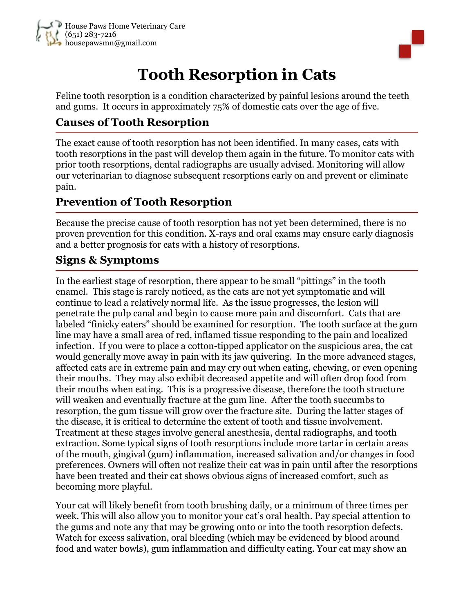

# **Tooth Resorption in Cats**

Feline tooth resorption is a condition characterized by painful lesions around the teeth and gums. It occurs in approximately 75% of domestic cats over the age of five.

## **Causes of Tooth Resorption**

The exact cause of tooth resorption has not been identified. In many cases, cats with tooth resorptions in the past will develop them again in the future. To monitor cats with prior tooth resorptions, dental radiographs are usually advised. Monitoring will allow our veterinarian to diagnose subsequent resorptions early on and prevent or eliminate pain.

### **Prevention of Tooth Resorption**

Because the precise cause of tooth resorption has not yet been determined, there is no proven prevention for this condition. X-rays and oral exams may ensure early diagnosis and a better prognosis for cats with a history of resorptions.

### **Signs & Symptoms**

In the earliest stage of resorption, there appear to be small "pittings" in the tooth enamel. This stage is rarely noticed, as the cats are not yet symptomatic and will continue to lead a relatively normal life. As the issue progresses, the lesion will penetrate the pulp canal and begin to cause more pain and discomfort. Cats that are labeled "finicky eaters" should be examined for resorption. The tooth surface at the gum line may have a small area of red, inflamed tissue responding to the pain and localized infection. If you were to place a cotton-tipped applicator on the suspicious area, the cat would generally move away in pain with its jaw quivering. In the more advanced stages, affected cats are in extreme pain and may cry out when eating, chewing, or even opening their mouths. They may also exhibit decreased appetite and will often drop food from their mouths when eating. This is a progressive disease, therefore the tooth structure will weaken and eventually fracture at the gum line. After the tooth succumbs to resorption, the gum tissue will grow over the fracture site. During the latter stages of the disease, it is critical to determine the extent of tooth and tissue involvement. Treatment at these stages involve general anesthesia, dental radiographs, and tooth extraction. Some typical signs of tooth resorptions include more tartar in certain areas of the mouth, gingival (gum) inflammation, increased salivation and/or changes in food preferences. Owners will often not realize their cat was in pain until after the resorptions have been treated and their cat shows obvious signs of increased comfort, such as becoming more playful.

Your cat will likely benefit from tooth brushing daily, or a minimum of three times per week. This will also allow you to monitor your cat's oral health. Pay special attention to the gums and note any that may be growing onto or into the tooth resorption defects. Watch for excess salivation, oral bleeding (which may be evidenced by blood around food and water bowls), gum inflammation and difficulty eating. Your cat may show an